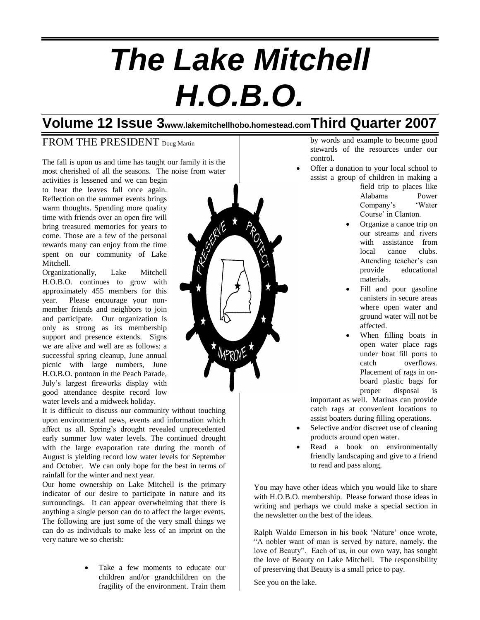# *The Lake Mitchell H.O.B.O.*

# **Volume 12 Issue 3www.lakemitchellhobo.homestead.comThird Quarter 2007**

## FROM THE PRESIDENT Doug Martin

The fall is upon us and time has taught our family it is the most cherished of all the seasons. The noise from water

activities is lessened and we can begin to hear the leaves fall once again. Reflection on the summer events brings warm thoughts. Spending more quality time with friends over an open fire will bring treasured memories for years to come. Those are a few of the personal rewards many can enjoy from the time spent on our community of Lake Mitchell.

Organizationally, Lake Mitchell H.O.B.O. continues to grow with approximately 455 members for this year. Please encourage your nonmember friends and neighbors to join and participate. Our organization is only as strong as its membership support and presence extends. Signs we are alive and well are as follows: a successful spring cleanup, June annual picnic with large numbers, June H.O.B.O. pontoon in the Peach Parade, July's largest fireworks display with good attendance despite record low water levels and a midweek holiday.

It is difficult to discuss our community without touching upon environmental news, events and information which affect us all. Spring's drought revealed unprecedented early summer low water levels. The continued drought with the large evaporation rate during the month of August is yielding record low water levels for September and October. We can only hope for the best in terms of rainfall for the winter and next year.

Our home ownership on Lake Mitchell is the primary indicator of our desire to participate in nature and its surroundings. It can appear overwhelming that there is anything a single person can do to affect the larger events. The following are just some of the very small things we can do as individuals to make less of an imprint on the very nature we so cherish:

> Take a few moments to educate our children and/or grandchildren on the fragility of the environment. Train them

MPROVE \*

by words and example to become good stewards of the resources under our control.

 Offer a donation to your local school to assist a group of children in making a

field trip to places like Alabama Power Company's 'Water Course' in Clanton.

- Organize a canoe trip on our streams and rivers with assistance from local canoe clubs. Attending teacher's can provide educational materials.
- Fill and pour gasoline canisters in secure areas where open water and ground water will not be affected.
- When filling boats in open water place rags under boat fill ports to catch overflows. Placement of rags in onboard plastic bags for proper disposal is

important as well. Marinas can provide catch rags at convenient locations to assist boaters during filling operations.

- Selective and/or discreet use of cleaning products around open water.
- Read a book on environmentally friendly landscaping and give to a friend to read and pass along.

You may have other ideas which you would like to share with H.O.B.O. membership. Please forward those ideas in writing and perhaps we could make a special section in the newsletter on the best of the ideas.

Ralph Waldo Emerson in his book 'Nature' once wrote, "A nobler want of man is served by nature, namely, the love of Beauty". Each of us, in our own way, has sought the love of Beauty on Lake Mitchell. The responsibility of preserving that Beauty is a small price to pay.

See you on the lake.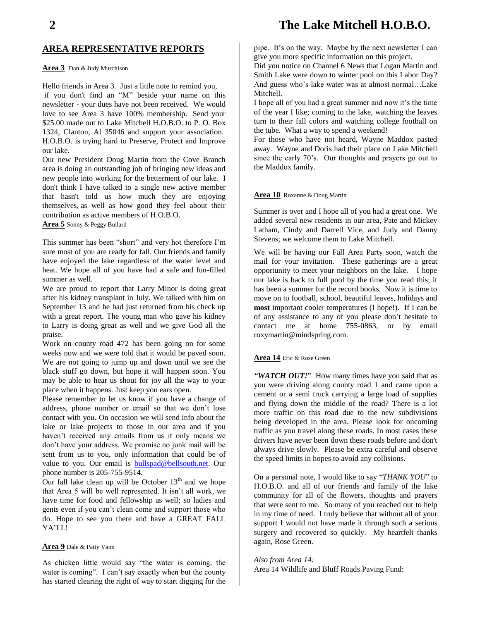## **2 The Lake Mitchell H.O.B.O.**

### **AREA REPRESENTATIVE REPORTS**

#### **Area 3** Dan & Judy Murchison

Hello friends in Area 3. Just a little note to remind you, if you don't find an "M" beside your name on this newsletter - your dues have not been received. We would love to see Area 3 have 100% membership. Send your \$25.00 made out to Lake Mitchell H.O.B.O. to P. O. Box 1324, Clanton, Al 35046 and support your association. H.O.B.O. is trying hard to Preserve, Protect and Improve our lake.

Our new President Doug Martin from the Cove Branch area is doing an outstanding job of bringing new ideas and new people into working for the betterment of our lake. I don't think I have talked to a single new active member that hasn't told us how much they are enjoying themselves, as well as how good they feel about their contribution as active members of H.O.B.O.

**Area 5** Sonny & Peggy Bullard

This summer has been "short" and very hot therefore I'm sure most of you are ready for fall. Our friends and family have enjoyed the lake regardless of the water level and heat. We hope all of you have had a safe and fun-filled summer as well.

We are proud to report that Larry Minor is doing great after his kidney transplant in July. We talked with him on September 13 and he had just returned from his check up with a great report. The young man who gave his kidney to Larry is doing great as well and we give God all the praise.

Work on county road 472 has been going on for some weeks now and we were told that it would be paved soon. We are not going to jump up and down until we see the black stuff go down, but hope it will happen soon. You may be able to hear us shout for joy all the way to your place when it happens. Just keep you ears open.

Please remember to let us know if you have a change of address, phone number or email so that we don't lose contact with you. On occasion we will send info about the lake or lake projects to those in our area and if you haven't received any emails from us it only means we don't have your address. We promise no junk mail will be sent from us to you, only information that could be of value to you. Our email is [bullspad@bellsouth.net.](mailto:bullspad@bellsouth.net) Our phone number is 205-755-9514.

Our fall lake clean up will be October  $13<sup>th</sup>$  and we hope that Area 5 will be well represented. It isn't all work, we have time for food and fellowship as well; so ladies and gents even if you can't clean come and support those who do. Hope to see you there and have a GREAT FALL YA'LL!

#### **Area 9** Dale & Patty Vann

As chicken little would say "the water is coming, the water is coming". I can't say exactly when but the county has started clearing the right of way to start digging for the pipe. It's on the way. Maybe by the next newsletter I can give you more specific information on this project.

Did you notice on Channel 6 News that Logan Martin and Smith Lake were down to winter pool on this Labor Day? And guess who's lake water was at almost normal…Lake Mitchell.

I hope all of you had a great summer and now it's the time of the year I like; coming to the lake, watching the leaves turn to their fall colors and watching college football on the tube. What a way to spend a weekend!

For those who have not heard, Wayne Maddox pasted away. Wayne and Doris had their place on Lake Mitchell since the early 70's. Our thoughts and prayers go out to the Maddox family.

#### **Area 10** Roxanne & Doug Martin

Summer is over and I hope all of you had a great one. We added several new residents in our area, Pate and Mickey Latham, Cindy and Darrell Vice, and Judy and Danny Stevens; we welcome them to Lake Mitchell.

We will be having our Fall Area Party soon, watch the mail for your invitation. These gatherings are a great opportunity to meet your neighbors on the lake. I hope our lake is back to full pool by the time you read this; it has been a summer for the record books. Now it is time to move on to football, school, beautiful leaves, holidays and **most** important cooler temperatures (I hope!). If I can be of any assistance to any of you please don't hesitate to contact me at home 755-0863, or by email roxymartin@mindspring.com.

#### **Area 14** Eric & Rose Green

*"WATCH OUT!*" How many times have you said that as you were driving along county road 1 and came upon a cement or a semi truck carrying a large load of supplies and flying down the middle of the road? There is a lot more traffic on this road due to the new subdivisions being developed in the area. Please look for oncoming traffic as you travel along these roads. In most cases these drivers have never been down these roads before and don't always drive slowly. Please be extra careful and observe the speed limits in hopes to avoid any collisions.

On a personal note, I would like to say "*THANK YOU*" to H.O.B.O. and all of our friends and family of the lake community for all of the flowers, thoughts and prayers that were sent to me. So many of you reached out to help in my time of need. I truly believe that without all of your support I would not have made it through such a serious surgery and recovered so quickly. My heartfelt thanks again, Rose Green.

#### *Also from Area 14:*

Area 14 Wildlife and Bluff Roads Paving Fund: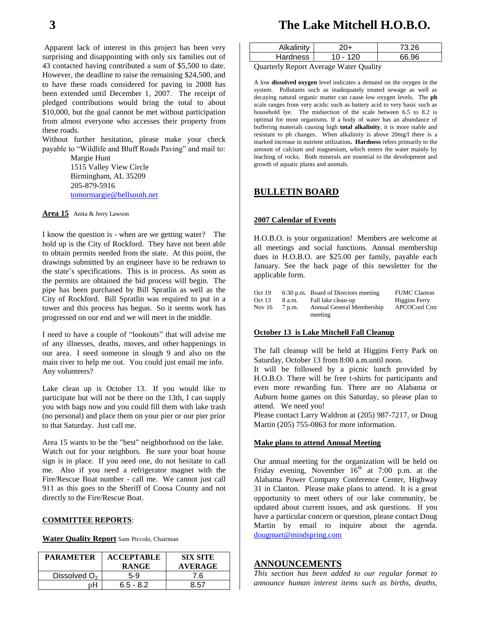Apparent lack of interest in this project has been very surprising and disappointing with only six families out of 43 contacted having contributed a sum of \$5,500 to date. However, the deadline to raise the remaining \$24,500, and to have these roads considered for paving in 2008 has been extended until December 1, 2007. The receipt of pledged contributions would bring the total to about \$10,000, but the goal cannot be met without participation from almost everyone who accesses their property from these roads.

Without further hesitation, please make your check payable to "Wildlife and Bluff Roads Paving" and mail to:

> Margie Hunt 1515 Valley View Circle Birmingham, AL 35209 205-879-5916 [tomormargie@bellsouth.net](mailto:tomormargie@bellsouth.net)

**Area 15** Anita & Jerry Lawson

I know the question is - when are we getting water? The hold up is the City of Rockford. They have not been able to obtain permits needed from the state. At this point, the drawings submitted by an engineer have to be redrawn to the state's specifications. This is in process. As soon as the permits are obtained the bid process will begin. The pipe has been purchased by Bill Spratlin as well as the City of Rockford. Bill Spratlin was required to put in a tower and this process has begun. So it seems work has progressed on our end and we will meet in the middle.

I need to have a couple of "lookouts" that will advise me of any illnesses, deaths, moves, and other happenings in our area. I need someone in slough 9 and also on the main river to help me out. You could just email me info. Any volunteers?

Lake clean up is October 13. If you would like to participate but will not be there on the 13th, I can supply you with bags now and you could fill them with lake trash (no personal) and place them on your pier or our pier prior to that Saturday. Just call me.

Area 15 wants to be the "best" neighborhood on the lake. Watch out for your neighbors. Be sure your boat house sign is in place. If you need one, do not hesitate to call me. Also if you need a refrigerator magnet with the Fire/Rescue Boat number - call me. We cannot just call 911 as this goes to the Sheriff of Coosa County and not directly to the Fire/Rescue Boat.

#### **COMMITTEE REPORTS**:

**Water Quality Report** Sam Piccolo, Chairman

| <b>PARAMETER</b> | <b>ACCEPTABLE</b><br><b>RANGE</b> | <b>SIX SITE</b><br><b>AVERAGE</b> |
|------------------|-----------------------------------|-----------------------------------|
| Dissolved $O2$   | 5-9                               | 7.6                               |
|                  | $6.5 - 8.2$                       | 8.57                              |

# **3 The Lake Mitchell H.O.B.O.**

| Alkalinity |          | 73 26 |
|------------|----------|-------|
| Hardness   | 10 - 120 | AR 96 |
| $\sim$     | ___      |       |

Quarterly Report Average Water Quality

A low **dissolved oxygen** level indicates a demand on the oxygen in the system. Pollutants such as inadequately treated sewage as well as decaying natural organic matter can cause low oxygen levels. The **ph** scale ranges from very acidic such as battery acid to very basic such as household lye. The midsection of the scale between 6.5 to 8.2 is optimal for most organisms. If a body of water has an abundance of buffering materials causing high **total alkalinity**, it is more stable and resistant to ph changes. When alkalinity is above 20mg/l there is a marked increase in nutrient utilization**. Hardness** refers primarily to the amount of calcium and magnesium, which enters the water mainly by leaching of rocks. Both minerals are essential to the development and growth of aquatic plants and animals.

## **BULLETIN BOARD**

#### **2007 Calendar of Events**

H.O.B.O. is your organization! Members are welcome at all meetings and social functions. Annual membership dues in H.O.B.O. are \$25.00 per family, payable each January. See the back page of this newsletter for the applicable form.

| Oct $19$ |        | 6:30 p.m. Board of Directors meeting | <b>FUMC Clanton</b>  |
|----------|--------|--------------------------------------|----------------------|
| Oct $13$ | 8 a.m. | Fall lake clean-up                   | <b>Higgins Ferry</b> |
| Nov $16$ | 7 p.m. | Annual General Membership            | <b>APCOConf Cntr</b> |
|          |        | meeting                              |                      |

#### **October 13 is Lake Mitchell Fall Cleanup**

The fall cleanup will be held at Higgins Ferry Park on Saturday, October 13 from 8:00 a.m.until noon.

It will be followed by a picnic lunch provided by H.O.B.O. There will be free t-shirts for participants and even more rewarding fun. There are no Alabama or Auburn home games on this Saturday, so please plan to attend. We need you!

Please contact Larry Waldron at (205) 987-7217, or Doug Martin (205) 755-0863 for more information.

#### **Make plans to attend Annual Meeting**

Our annual meeting for the organization will be held on Friday evening, November  $16<sup>th</sup>$  at 7:00 p.m. at the Alabama Power Company Conference Center, Highway 31 in Clanton. Please make plans to attend. It is a great opportunity to meet others of our lake community, be updated about current issues, and ask questions. If you have a particular concern or question, please contact Doug Martin by email to inquire about the agenda. [dougmart@mindspring.com](mailto:dougmart@mindspring.com)

#### **ANNOUNCEME**

*This section has been added to our regular format to announce human interest items such as births, deaths,*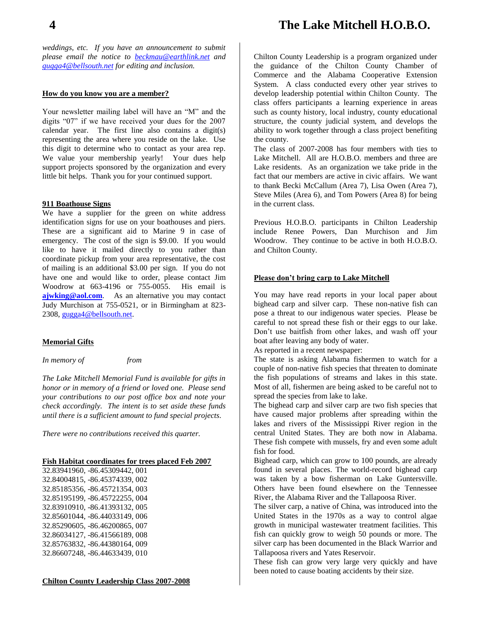# **4 The Lake Mitchell H.O.B.O.**

*weddings, etc. If you have an announcement to submit please email the notice to [beckmau@earthlink.net](mailto:beckmau@earthlink.net) and [gugga4@bellsouth.net](mailto:gugga4@bellsouth.net) for editing and inclusion.*

#### **How do you know you are a member?**

Your newsletter mailing label will have an "M" and the digits "07" if we have received your dues for the 2007 calendar year. The first line also contains a digit(s) representing the area where you reside on the lake. Use this digit to determine who to contact as your area rep. We value your membership yearly! Your dues help support projects sponsored by the organization and every little bit helps. Thank you for your continued support.

#### **911 Boathouse Signs**

We have a supplier for the green on white address identification signs for use on your boathouses and piers. These are a significant aid to Marine 9 in case of emergency. The cost of the sign is \$9.00. If you would like to have it mailed directly to you rather than coordinate pickup from your area representative, the cost of mailing is an additional \$3.00 per sign. If you do not have one and would like to order, please contact Jim Woodrow at 663-4196 or 755-0055. His email is **[ajwking@aol.com](mailto:ajwking@aol.com).** As an alternative you may contact Judy Murchison at 755-0521, or in Birmingham at 823- 2308, [gugga4@bellsouth.net.](mailto:gugga4@bellsouth.net)

#### **Memorial Gifts**

*In memory of from*

*The Lake Mitchell Memorial Fund is available for gifts in honor or in memory of a friend or loved one. Please send your contributions to our post office box and note your check accordingly. The intent is to set aside these funds until there is a sufficient amount to fund special projects.*

*There were no contributions received this quarter.*

#### **Fish Habitat coordinates for trees placed Feb 2007**

32.83941960, -86.45309442, 001 32.84004815, -86.45374339, 002 32.85185356, -86.45721354, 003 32.85195199, -86.45722255, 004 32.83910910, -86.41393132, 005 32.85601044, -86.44033149, 006 32.85290605, -86.46200865, 007 32.86034127, -86.41566189, 008 32.85763832, -86.44380164, 009 32.86607248, -86.44633439, 010

**Chilton County Leadership Class 2007-2008**

Chilton County Leadership is a program organized under the guidance of the Chilton County Chamber of Commerce and the Alabama Cooperative Extension System. A class conducted every other year strives to develop leadership potential within Chilton County. The class offers participants a learning experience in areas such as county history, local industry, county educational structure, the county judicial system, and develops the ability to work together through a class project benefiting the county.

The class of 2007-2008 has four members with ties to Lake Mitchell. All are H.O.B.O. members and three are Lake residents. As an organization we take pride in the fact that our members are active in civic affairs. We want to thank Becki McCallum (Area 7), Lisa Owen (Area 7), Steve Miles (Area 6), and Tom Powers (Area 8) for being in the current class.

Previous H.O.B.O. participants in Chilton Leadership include Renee Powers, Dan Murchison and Jim Woodrow. They continue to be active in both H.O.B.O. and Chilton County.

#### **Please don't bring carp to Lake Mitchell**

You may have read reports in your local paper about bighead carp and silver carp. These non-native fish can pose a threat to our indigenous water species. Please be careful to not spread these fish or their eggs to our lake. Don't use baitfish from other lakes, and wash off your boat after leaving any body of water.

As reported in a recent newspaper:

The state is asking Alabama fishermen to watch for a couple of non-native fish species that threaten to dominate the fish populations of streams and lakes in this state. Most of all, fishermen are being asked to be careful not to spread the species from lake to lake.

The bighead carp and silver carp are two fish species that have caused major problems after spreading within the lakes and rivers of the Mississippi River region in the central United States. They are both now in Alabama. These fish compete with mussels, fry and even some adult fish for food.

Bighead carp, which can grow to 100 pounds, are already found in several places. The world-record bighead carp was taken by a bow fisherman on Lake Guntersville. Others have been found elsewhere on the Tennessee River, the Alabama River and the Tallapoosa River.

The silver carp, a native of China, was introduced into the United States in the 1970s as a way to control algae growth in municipal wastewater treatment facilities. This fish can quickly grow to weigh 50 pounds or more. The silver carp has been documented in the Black Warrior and Tallapoosa rivers and Yates Reservoir.

These fish can grow very large very quickly and have been noted to cause boating accidents by their size.